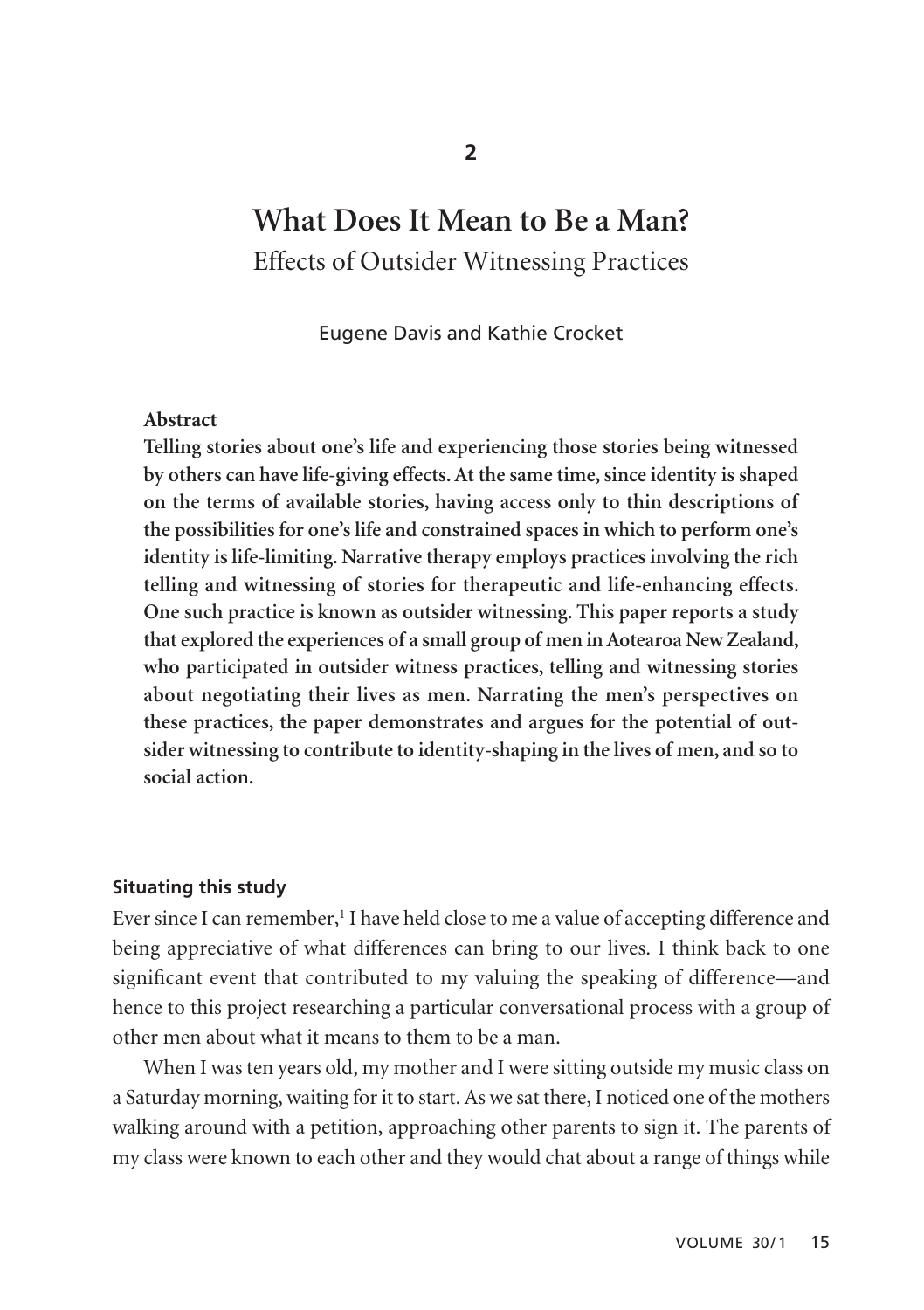# **What Does It Mean to Be a Man?** Effects of Outsider Witnessing Practices

Eugene Davis and Kathie Crocket

#### **Abstract**

**Telling stories about one's life and experiencing those stories being witnessed by others can have life-giving effects. At the same time, since identity is shaped on the terms of available stories, having access only to thin descriptions of the possibilities for one's life and constrained spaces in which to perform one's identity is life-limiting. Narrative therapy employs practices involving the rich telling and witnessing of stories for therapeutic and life-enhancing effects. One such practice is known as outsider witnessing. This paper reports a study that explored the experiences of a small group of men in Aotearoa New Zealand, who participated in outsider witness practices, telling and witnessing stories about negotiating their lives as men. Narrating the men's perspectives on these practices, the paper demonstrates and argues for the potential of outsider witnessing to contribute to identity-shaping in the lives of men, and so to social action.**

### **Situating this study**

Ever since I can remember,<sup>1</sup> I have held close to me a value of accepting difference and being appreciative of what differences can bring to our lives. I think back to one significant event that contributed to my valuing the speaking of difference—and hence to this project researching a particular conversational process with a group of other men about what it means to them to be a man.

When I was ten years old, my mother and I were sitting outside my music class on a Saturday morning, waiting for it to start. As we sat there, I noticed one of the mothers walking around with a petition, approaching other parents to sign it. The parents of my class were known to each other and they would chat about a range of things while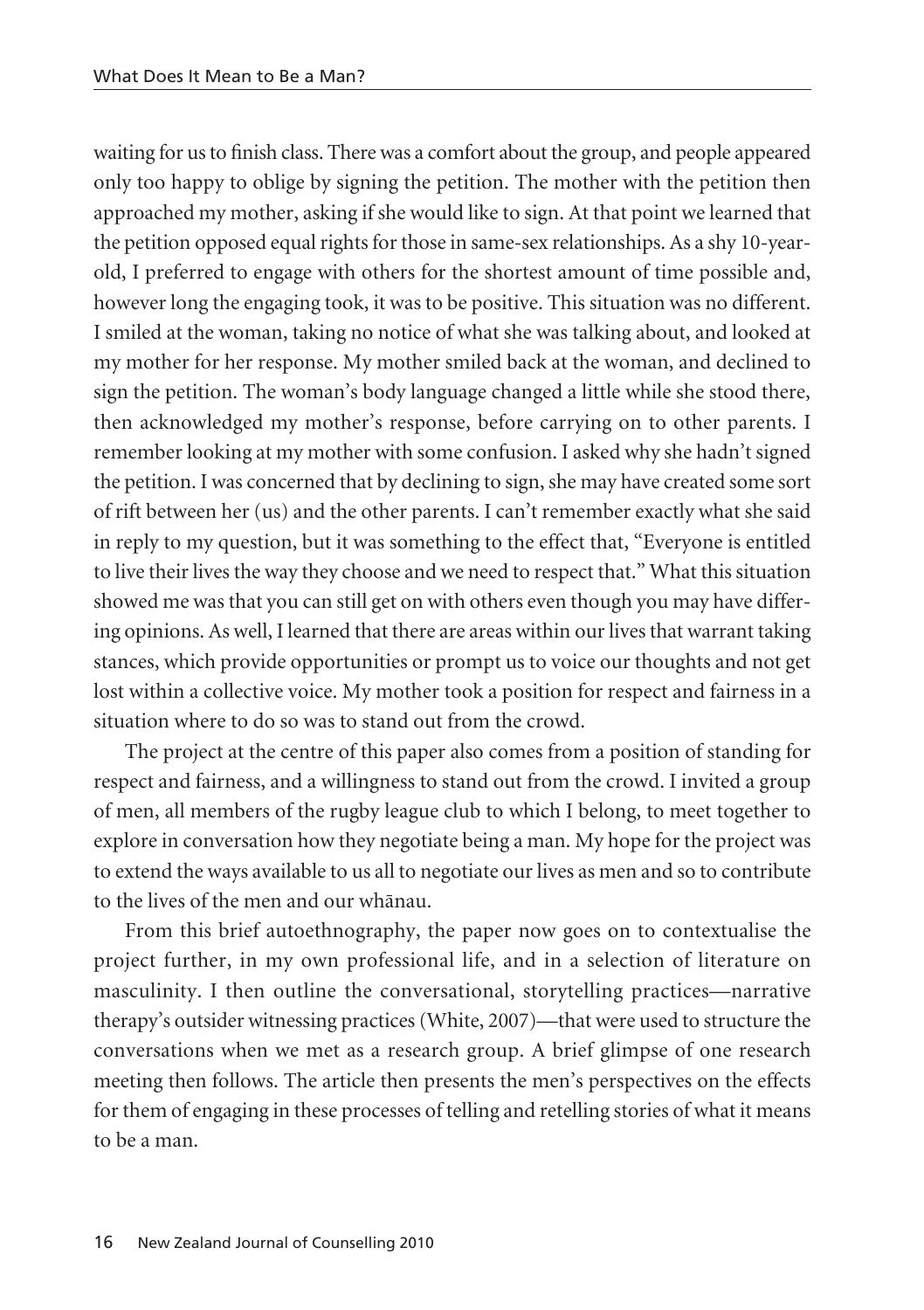waiting for us to finish class. There was a comfort about the group, and people appeared only too happy to oblige by signing the petition. The mother with the petition then approached my mother, asking if she would like to sign. At that point we learned that the petition opposed equal rights for those in same-sex relationships. As a shy 10-yearold, I preferred to engage with others for the shortest amount of time possible and, however long the engaging took, it was to be positive. This situation was no different. I smiled at the woman, taking no notice of what she was talking about, and looked at my mother for her response. My mother smiled back at the woman, and declined to sign the petition. The woman's body language changed a little while she stood there, then acknowledged my mother's response, before carrying on to other parents. I remember looking at my mother with some confusion. I asked why she hadn't signed the petition. I was concerned that by declining to sign, she may have created some sort of rift between her (us) and the other parents. I can't remember exactly what she said in reply to my question, but it was something to the effect that, "Everyone is entitled to live their lives the way they choose and we need to respect that." What this situation showed me was that you can still get on with others even though you may have differ ing opinions. As well, I learned that there are areas within our lives that warrant taking stances, which provide opportunities or prompt us to voice our thoughts and not get lost within a collective voice. My mother took a position for respect and fairness in a situation where to do so was to stand out from the crowd.

The project at the centre of this paper also comes from a position of standing for respect and fairness, and a willingness to stand out from the crowd. I invited a group of men, all members of the rugby league club to which I belong, to meet together to explore in conversation how they negotiate being a man. My hope for the project was to extend the ways available to us all to negotiate our lives as men and so to contribute to the lives of the men and our whänau.

From this brief autoethnography, the paper now goes on to contextualise the project further, in my own professional life, and in a selection of literature on masculinity. I then outline the conversational, storytelling practices—narrative therapy's outsider witnessing practices (White, 2007)—that were used to structure the conversations when we met as a research group. A brief glimpse of one research meeting then follows. The article then presents the men's perspectives on the effects for them of engaging in these processes of telling and retelling stories of what it means to be a man.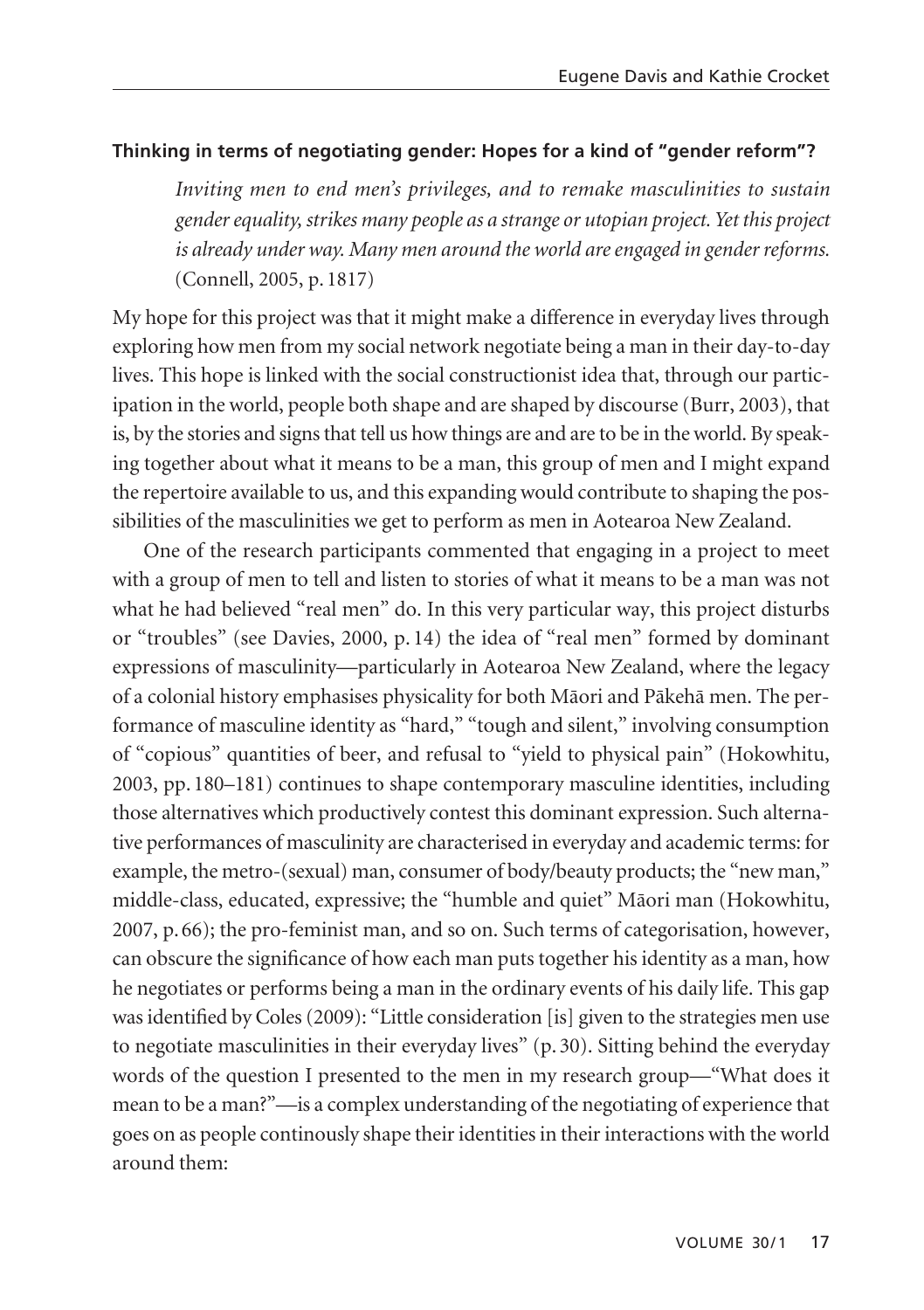# **Thinking in terms of negotiating gender: Hopes for a kind of "gender reform"?**

*Inviting men to end men's privileges, and to remake masculinities to sustain gender equality, strikes many people as a strange or utopian project. Yet this project is already under way. Many men around the world are engaged in gender reforms.* (Connell, 2005, p. 1817)

My hope for this project was that it might make a difference in everyday lives through exploring how men from my social network negotiate being a man in their day-to-day lives. This hope is linked with the social constructionist idea that, through our participation in the world, people both shape and are shaped by discourse (Burr, 2003), that is, by the stories and signs that tell us how things are and are to be in the world. By speaking together about what it means to be a man, this group of men and I might expand the repertoire available to us, and this expanding would contribute to shaping the possibilities of the masculinities we get to perform as men in Aotearoa New Zealand.

One of the research participants commented that engaging in a project to meet with a group of men to tell and listen to stories of what it means to be a man was not what he had believed "real men" do. In this very particular way, this project disturbs or "troubles" (see Davies, 2000, p. 14) the idea of "real men" formed by dominant expressions of masculinity—particularly in Aotearoa New Zealand, where the legacy of a colonial history emphasises physicality for both Mäori and Päkehä men. The performance of masculine identity as "hard," "tough and silent," involving consumption of "copious" quantities of beer, and refusal to "yield to physical pain" (Hokowhitu, 2003, pp. 180–181) continues to shape contemporary masculine identities, including those alternatives which productively contest this dominant expression. Such alternative performances of masculinity are characterised in everyday and academic terms: for example, the metro-(sexual) man, consumer of body/beauty products; the "new man," middle-class, educated, expressive; the "humble and quiet" Mäori man (Hokowhitu, 2007, p. 66); the pro-feminist man, and so on. Such terms of categorisation, however, can obscure the significance of how each man puts together his identity as a man, how he negotiates or performs being a man in the ordinary events of his daily life. This gap was identified by Coles (2009): "Little consideration [is] given to the strategies men use to negotiate masculinities in their everyday lives" (p. 30). Sitting behind the everyday words of the question I presented to the men in my research group—"What does it mean to be a man?"—is a complex understanding of the negotiating of experience that goes on as people continously shape their identities in their interactions with the world around them: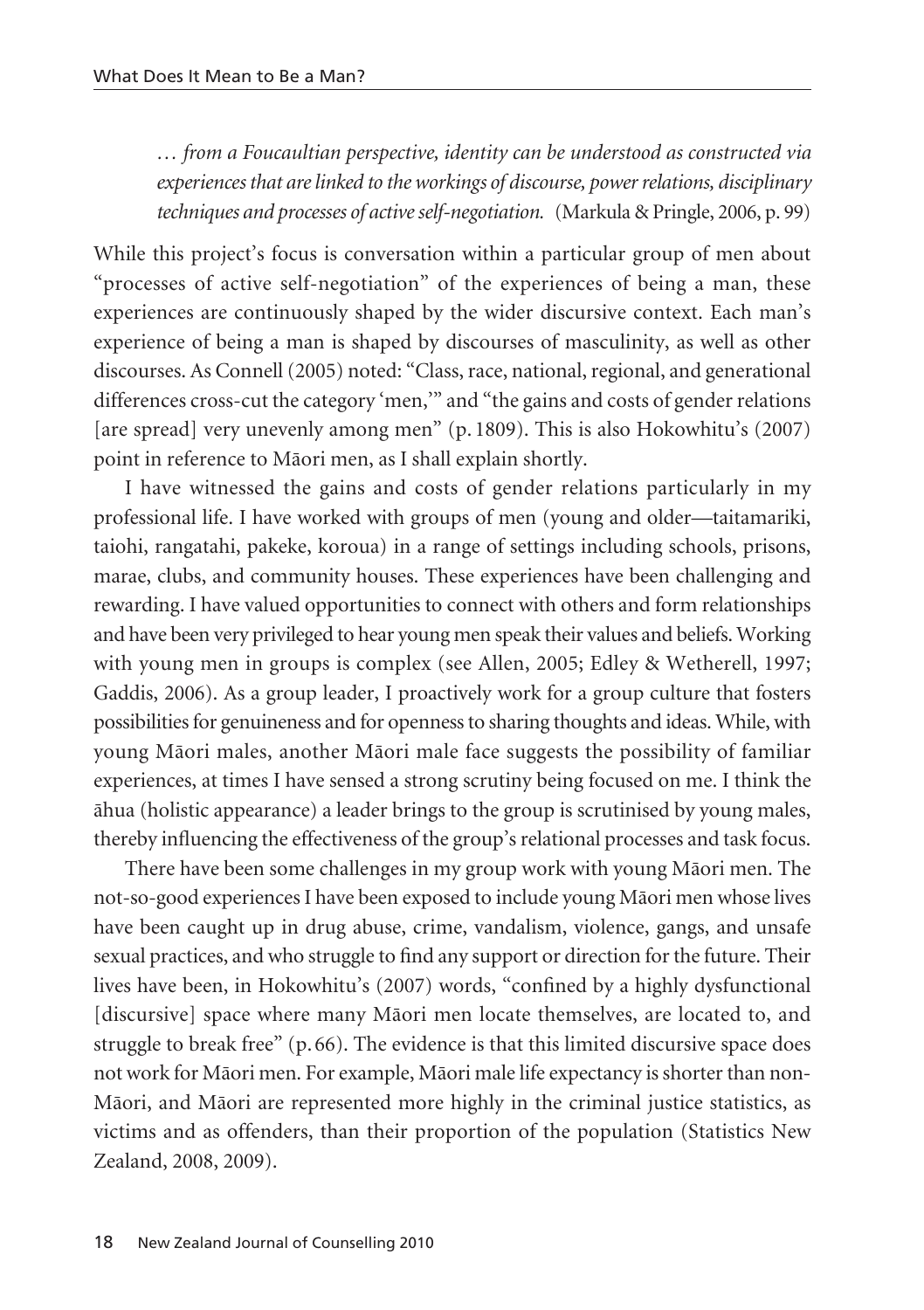*… from a Foucaultian perspective, identity can be understood as constructed via experiences that are linked to the workings of discourse, power relations, disciplinary techniques and processes of active self-negotiation.* (Markula & Pringle, 2006, p. 99)

While this project's focus is conversation within a particular group of men about "processes of active self-negotiation" of the experiences of being a man, these experiences are continuously shaped by the wider discursive context. Each man's experience of being a man is shaped by discourses of masculinity, as well as other discourses. As Connell (2005) noted: "Class, race, national, regional, and generational differences cross-cut the category 'men,'" and "the gains and costs of gender relations [are spread] very unevenly among men" (p. 1809). This is also Hokowhitu's (2007) point in reference to Mäori men, as I shall explain shortly.

I have witnessed the gains and costs of gender relations particularly in my professional life. I have worked with groups of men (young and older—taitamariki, taiohi, rangatahi, pakeke, koroua) in a range of settings including schools, prisons, marae, clubs, and community houses. These experiences have been challenging and rewarding. I have valued opportunities to connect with others and form relationships and have been very privileged to hear young men speak their values and beliefs. Working with young men in groups is complex (see Allen, 2005; Edley & Wetherell, 1997; Gaddis, 2006). As a group leader, I proactively work for a group culture that fosters possibilities for genuineness and for openness to sharing thoughts and ideas. While, with young Mäori males, another Mäori male face suggests the possibility of familiar experiences, at times I have sensed a strong scrutiny being focused on me. I think the ähua (holistic appearance) a leader brings to the group is scrutinised by young males, thereby influencing the effectiveness of the group's relational processes and task focus.

There have been some challenges in my group work with young Mäori men. The not-so-good experiences I have been exposed to include young Mäori men whose lives have been caught up in drug abuse, crime, vandalism, violence, gangs, and unsafe sexual practices, and who struggle to find any support or direction for the future. Their lives have been, in Hokowhitu's (2007) words, "confined by a highly dysfunctional [discursive] space where many Mäori men locate themselves, are located to, and struggle to break free" (p. 66). The evidence is that this limited discursive space does not work for Mäori men. For example, Mäori male life expectancy is shorter than non-Mäori, and Mäori are represented more highly in the criminal justice statistics, as victims and as offenders, than their proportion of the population (Statistics New Zealand, 2008, 2009).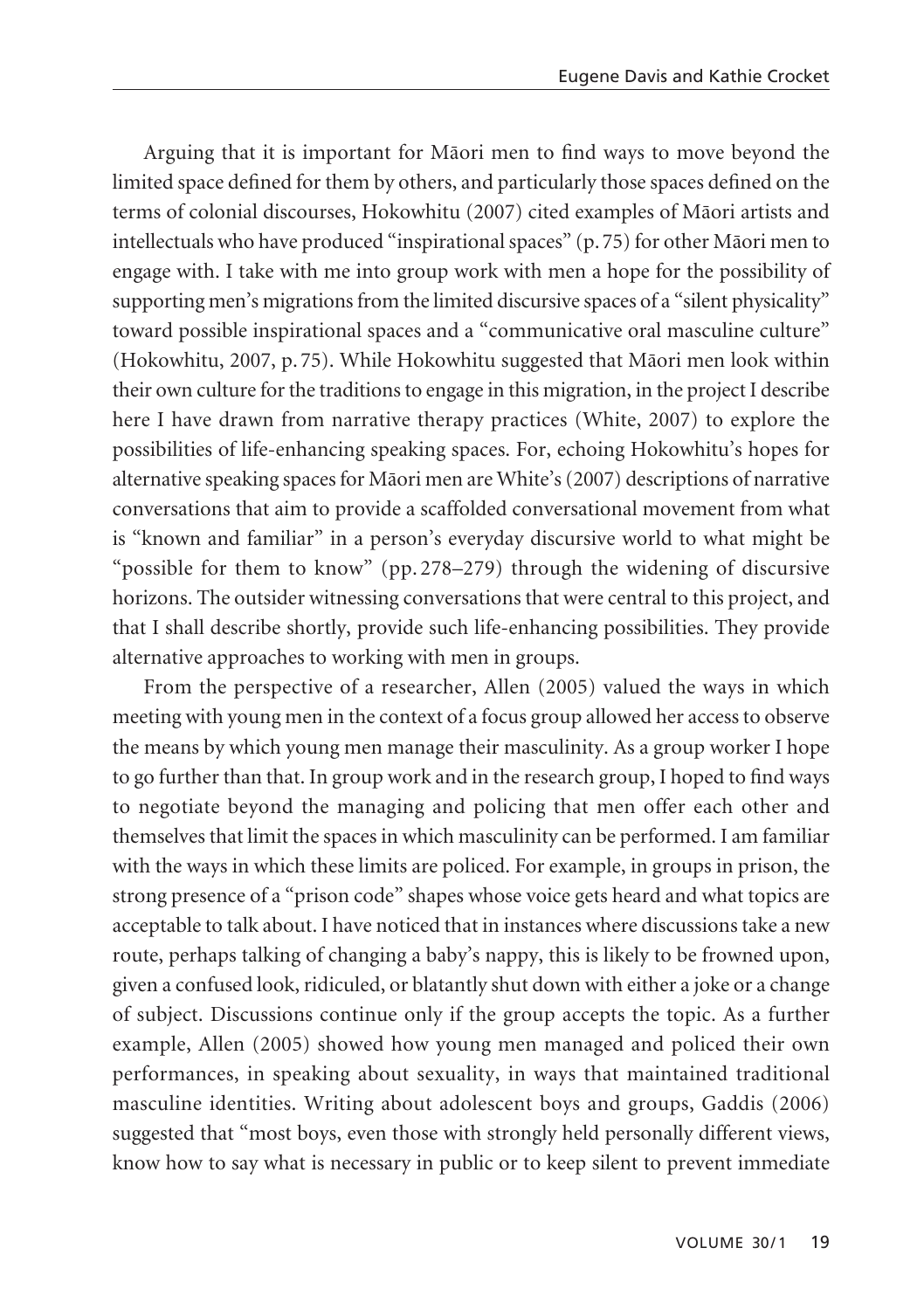Arguing that it is important for Mäori men to find ways to move beyond the limited space defined for them by others, and particularly those spaces defined on the terms of colonial discourses, Hokowhitu (2007) cited examples of Mäori artists and intellectuals who have produced "inspirational spaces" (p. 75) for other Mäori men to engage with. I take with me into group work with men a hope for the possibility of supporting men's migrations from the limited discursive spaces of a "silent physicality" toward possible inspirational spaces and a "communicative oral masculine culture" (Hokowhitu, 2007, p. 75). While Hokowhitu suggested that Mäori men look within their own culture for the traditions to engage in this migration, in the project I describe here I have drawn from narrative therapy practices (White, 2007) to explore the possibilities of life-enhancing speaking spaces. For, echoing Hokowhitu's hopes for alternative speaking spaces for Mäori men are White's (2007) descriptions of narrative conversations that aim to provide a scaffolded conversational movement from what is "known and familiar" in a person's everyday discursive world to what might be "possible for them to know" (pp. 278–279) through the widening of discursive horizons. The outsider witnessing conversations that were central to this project, and that I shall describe shortly, provide such life-enhancing possibilities. They provide alternative approaches to working with men in groups.

From the perspective of a researcher, Allen (2005) valued the ways in which meeting with young men in the context of a focus group allowed her access to observe the means by which young men manage their masculinity. As a group worker I hope to go further than that. In group work and in the research group, I hoped to find ways to negotiate beyond the managing and policing that men offer each other and themselves that limit the spaces in which masculinity can be performed. I am familiar with the ways in which these limits are policed. For example, in groups in prison, the strong presence of a "prison code" shapes whose voice gets heard and what topics are acceptable to talk about. I have noticed that in instances where discussions take a new route, perhaps talking of changing a baby's nappy, this is likely to be frowned upon, given a confused look, ridiculed, or blatantly shut down with either a joke or a change of subject. Discussions continue only if the group accepts the topic. As a further example, Allen (2005) showed how young men managed and policed their own performances, in speaking about sexuality, in ways that maintained traditional masculine identities. Writing about adolescent boys and groups, Gaddis (2006) suggested that "most boys, even those with strongly held personally different views, know how to say what is necessary in public or to keep silent to prevent immediate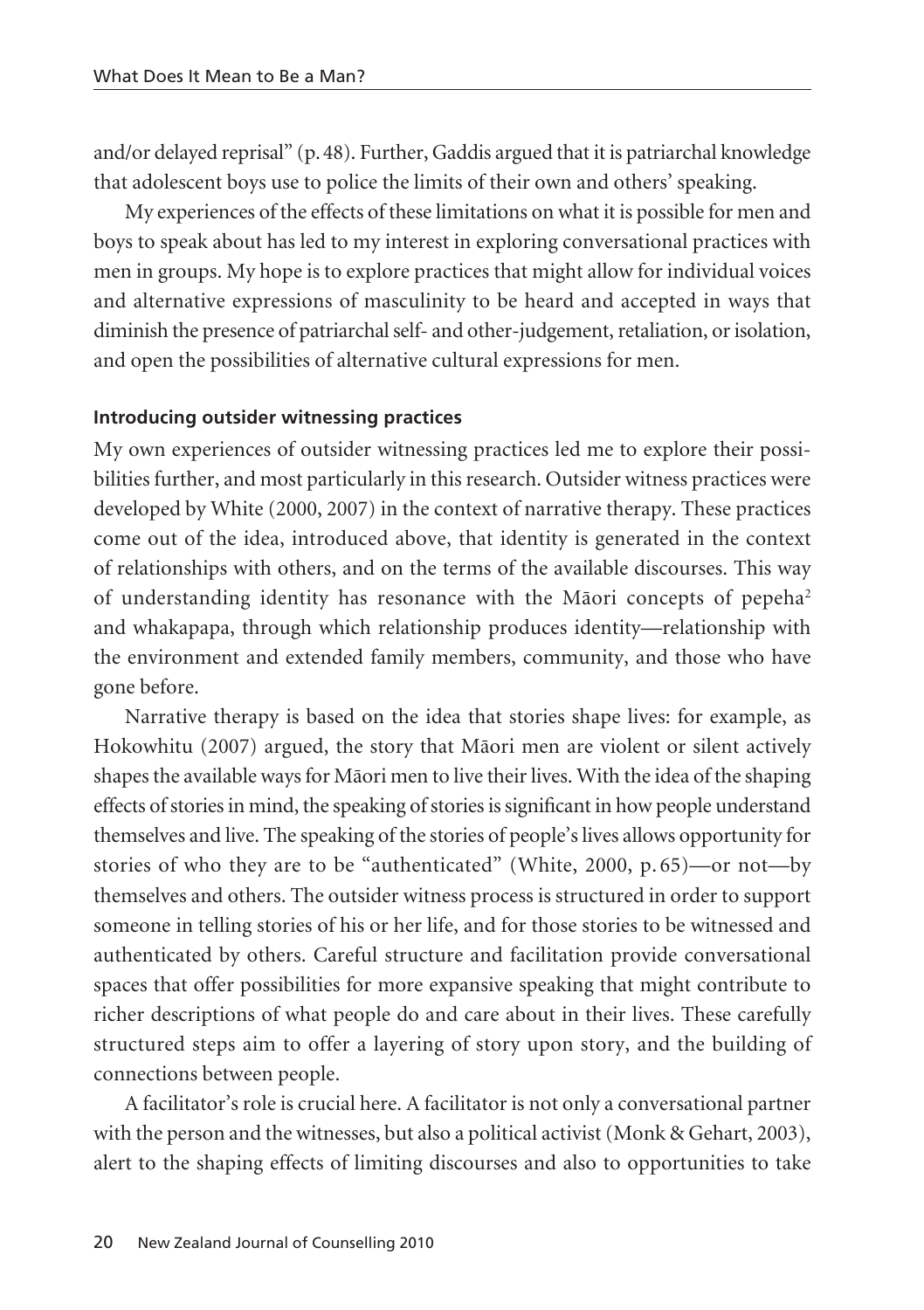and/or delayed reprisal" (p.48). Further, Gaddis argued that it is patriarchal knowledge that adolescent boys use to police the limits of their own and others' speaking.

My experiences of the effects of these limitations on what it is possible for men and boys to speak about has led to my interest in exploring conversational practices with men in groups. My hope is to explore practices that might allow for individual voices and alternative expressions of masculinity to be heard and accepted in ways that diminish the presence of patriarchal self- and other-judgement, retaliation, or isolation, and open the possibilities of alternative cultural expressions for men.

## **Introducing outsider witnessing practices**

My own experiences of outsider witnessing practices led me to explore their possi bilities further, and most particularly in this research. Outsider witness practices were developed by White (2000, 2007) in the context of narrative therapy. These practices come out of the idea, introduced above, that identity is generated in the context of relationships with others, and on the terms of the available discourses. This way of understanding identity has resonance with the Mäori concepts of pepeha2 and whakapapa, through which relationship produces identity—relationship with the environment and extended family members, community, and those who have gone before.

Narrative therapy is based on the idea that stories shape lives: for example, as Hokowhitu (2007) argued, the story that Mäori men are violent or silent actively shapes the available ways for Mäori men to live their lives. With the idea of the shaping effects of stories in mind, the speaking of stories is significant in how people understand themselves and live. The speaking of the stories of people's lives allows opportunity for stories of who they are to be "authenticated" (White, 2000, p. 65)—or not—by them selves and others. The outsider witness process is structured in order to support someone in telling stories of his or her life, and for those stories to be witnessed and authenticated by others. Careful structure and facilitation provide conversational spaces that offer possibilities for more expansive speaking that might contribute to richer descriptions of what people do and care about in their lives. These carefully structured steps aim to offer a layering of story upon story, and the building of connections between people.

A facilitator's role is crucial here. A facilitator is not only a conversational partner with the person and the witnesses, but also a political activist (Monk & Gehart, 2003), alert to the shaping effects of limiting discourses and also to opportunities to take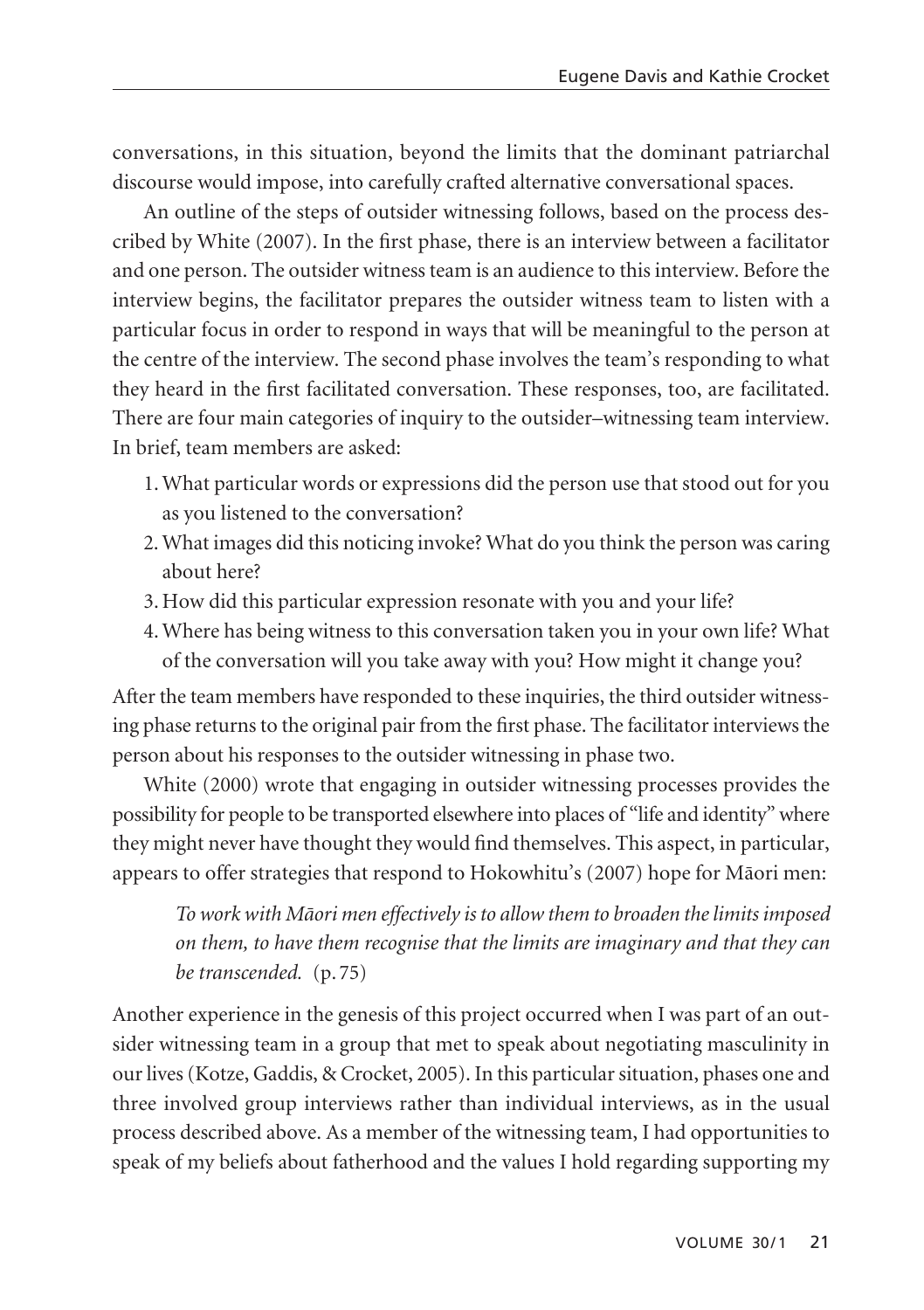conversations, in this situation, beyond the limits that the dominant patriarchal discourse would impose, into carefully crafted alternative conversational spaces.

An outline of the steps of outsider witnessing follows, based on the process described by White (2007). In the first phase, there is an interview between a facilitator and one person. The outsider witness team is an audience to this interview. Before the interview begins, the facilitator prepares the outsider witness team to listen with a particular focus in order to respond in ways that will be meaningful to the person at the centre of the interview. The second phase involves the team's responding to what they heard in the first facilitated conversation. These responses, too, are facilitated. There are four main categories of inquiry to the outsider–witnessing team interview. In brief, team members are asked:

- 1. What particular words or expressions did the person use that stood out for you as you listened to the conversation?
- 2. What images did this noticing invoke? What do you think the person was caring about here?
- 3. How did this particular expression resonate with you and your life?
- 4. Where has being witness to this conversation taken you in your own life? What of the conversation will you take away with you? How might it change you?

After the team members have responded to these inquiries, the third outsider witnessing phase returns to the original pair from the first phase. The facilitator interviews the person about his responses to the outsider witnessing in phase two.

White (2000) wrote that engaging in outsider witnessing processes provides the possibility for people to be transported elsewhere into places of "life and identity" where they might never have thought they would find themselves. This aspect, in particular, appears to offer strategies that respond to Hokowhitu's (2007) hope for Mäori men:

*To work with Mäori men effectively is to allow them to broaden the limits imposed on them, to have them recognise that the limits are imaginary and that they can be transcended.* (p. 75)

Another experience in the genesis of this project occurred when I was part of an out sider witnessing team in a group that met to speak about negotiating masculinity in our lives (Kotze, Gaddis, & Crocket, 2005). In this particular situation, phases one and three involved group interviews rather than individual interviews, as in the usual process described above. As a member of the witnessing team, I had opportunities to speak of my beliefs about fatherhood and the values I hold regarding supporting my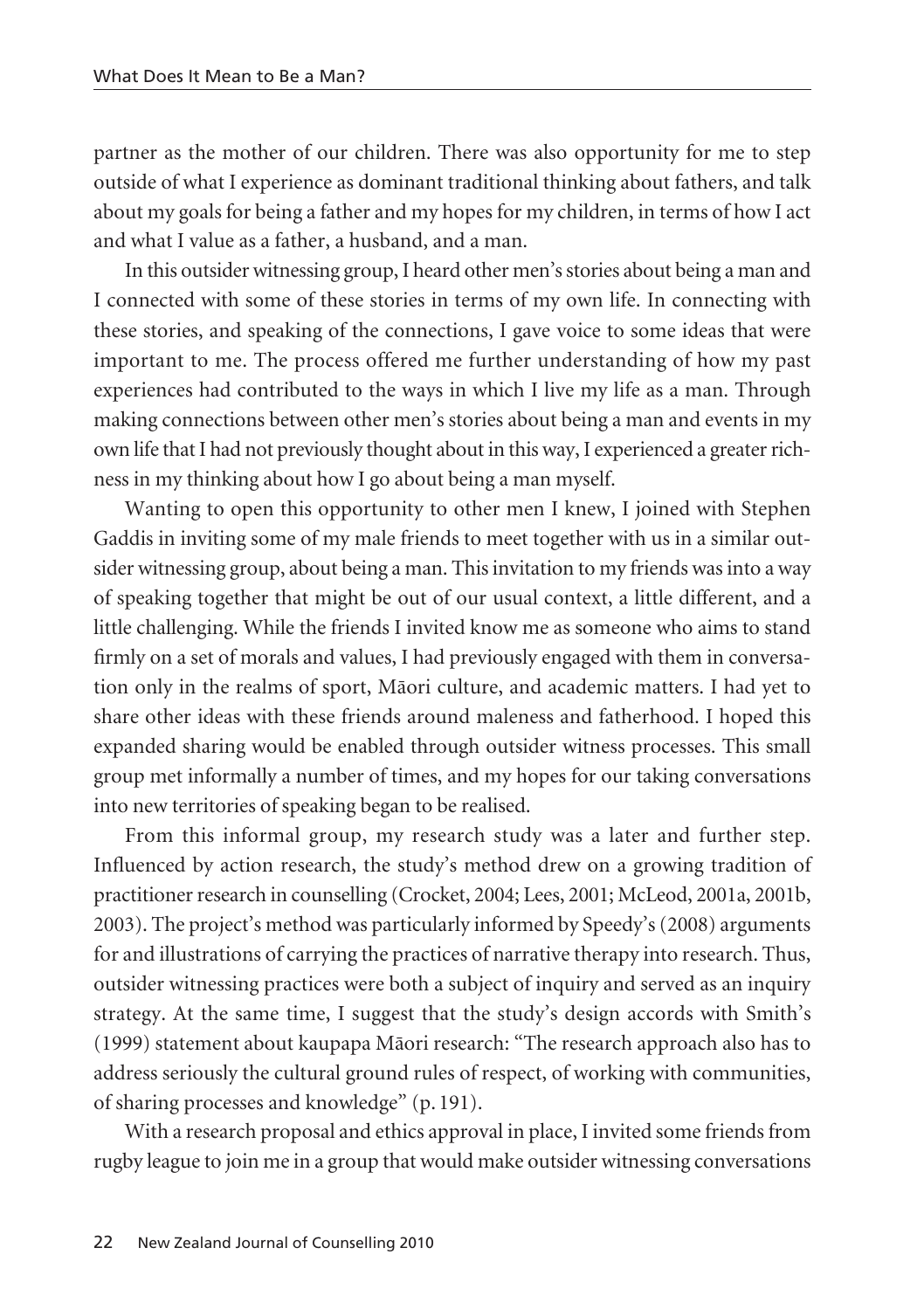partner as the mother of our children. There was also opportunity for me to step outside of what I experience as dominant traditional thinking about fathers, and talk about my goals for being a father and my hopes for my children, in terms of how I act and what I value as a father, a husband, and a man.

In this outsider witnessing group, I heard other men's stories about being a man and I connected with some of these stories in terms of my own life. In connecting with these stories, and speaking of the connections, I gave voice to some ideas that were important to me. The process offered me further understanding of how my past experiences had contributed to the ways in which I live my life as a man. Through making connections between other men's stories about being a man and events in my own life that I had not previously thought about in this way, I experienced a greater richness in my thinking about how I go about being a man myself.

Wanting to open this opportunity to other men I knew, I joined with Stephen Gaddis in inviting some of my male friends to meet together with us in a similar outsider witnessing group, about being a man. This invitation to my friends was into a way of speaking together that might be out of our usual context, a little different, and a little challenging. While the friends I invited know me as someone who aims to stand firmly on a set of morals and values, I had previously engaged with them in conversation only in the realms of sport, Mäori culture, and academic matters. I had yet to share other ideas with these friends around maleness and fatherhood. I hoped this expanded sharing would be enabled through outsider witness processes. This small group met informally a number of times, and my hopes for our taking conversations into new territories of speaking began to be realised.

From this informal group, my research study was a later and further step. Influenced by action research, the study's method drew on a growing tradition of practitioner research in counselling (Crocket, 2004; Lees, 2001; McLeod, 2001a, 2001b, 2003). The project's method was particularly informed by Speedy's (2008) arguments for and illustrations of carrying the practices of narrative therapy into research. Thus, outsider witnessing practices were both a subject of inquiry and served as an inquiry strategy. At the same time, I suggest that the study's design accords with Smith's (1999) statement about kaupapa Mäori research: "The research approach also has to address seriously the cultural ground rules of respect, of working with communities, of sharing processes and knowledge" (p. 191).

With a research proposal and ethics approval in place, I invited some friends from rugby league to join me in a group that would make outsider witnessing conversations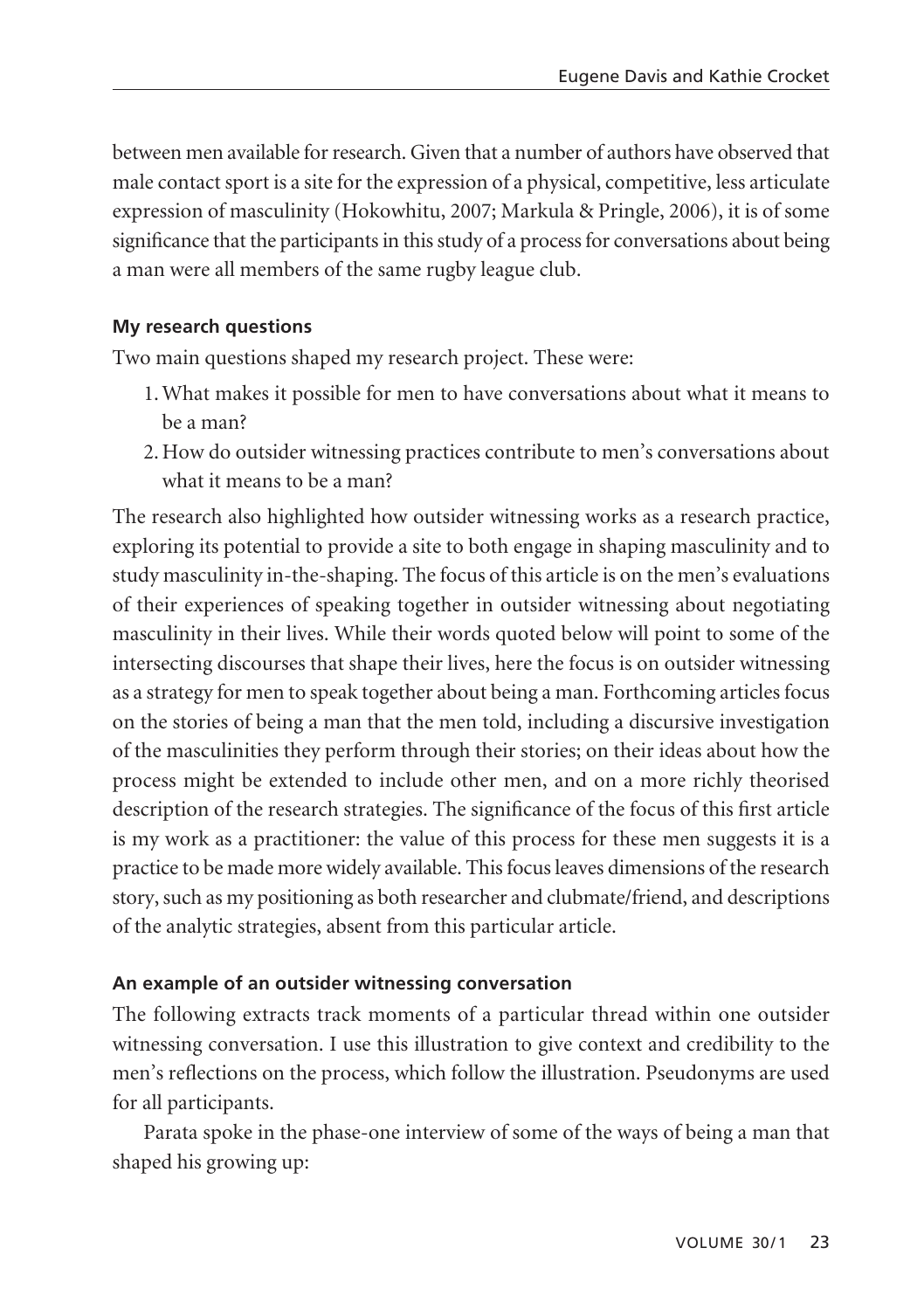between men available for research. Given that a number of authors have observed that male contact sport is a site for the expression of a physical, competitive, less articulate expression of masculinity (Hokowhitu, 2007; Markula & Pringle, 2006), it is of some significance that the participants in this study of a process for conversations about being a man were all members of the same rugby league club.

# **My research questions**

Two main questions shaped my research project. These were:

- 1. What makes it possible for men to have conversations about what it means to be a man?
- 2. How do outsider witnessing practices contribute to men's conversations about what it means to be a man?

The research also highlighted how outsider witnessing works as a research practice, exploring its potential to provide a site to both engage in shaping masculinity and to study masculinity in-the-shaping. The focus of this article is on the men's evaluations of their experiences of speaking together in outsider witnessing about negotiating masculinity in their lives. While their words quoted below will point to some of the intersecting discourses that shape their lives, here the focus is on outsider witnessing as a strategy for men to speak together about being a man. Forthcoming articles focus on the stories of being a man that the men told, including a discursive investigation of the masculinities they perform through their stories; on their ideas about how the process might be extended to include other men, and on a more richly theorised description of the research strategies. The significance of the focus of this first article is my work as a practitioner: the value of this process for these men suggests it is a practice to be made more widely available. This focus leaves dimensions of the research story, such as my positioning as both researcher and clubmate/friend, and descriptions of the analytic strategies, absent from this particular article.

# **An example of an outsider witnessing conversation**

The following extracts track moments of a particular thread within one outsider witnessing conversation. I use this illustration to give context and credibility to the men's reflections on the process, which follow the illustration. Pseudonyms are used for all participants.

Parata spoke in the phase-one interview of some of the ways of being a man that shaped his growing up: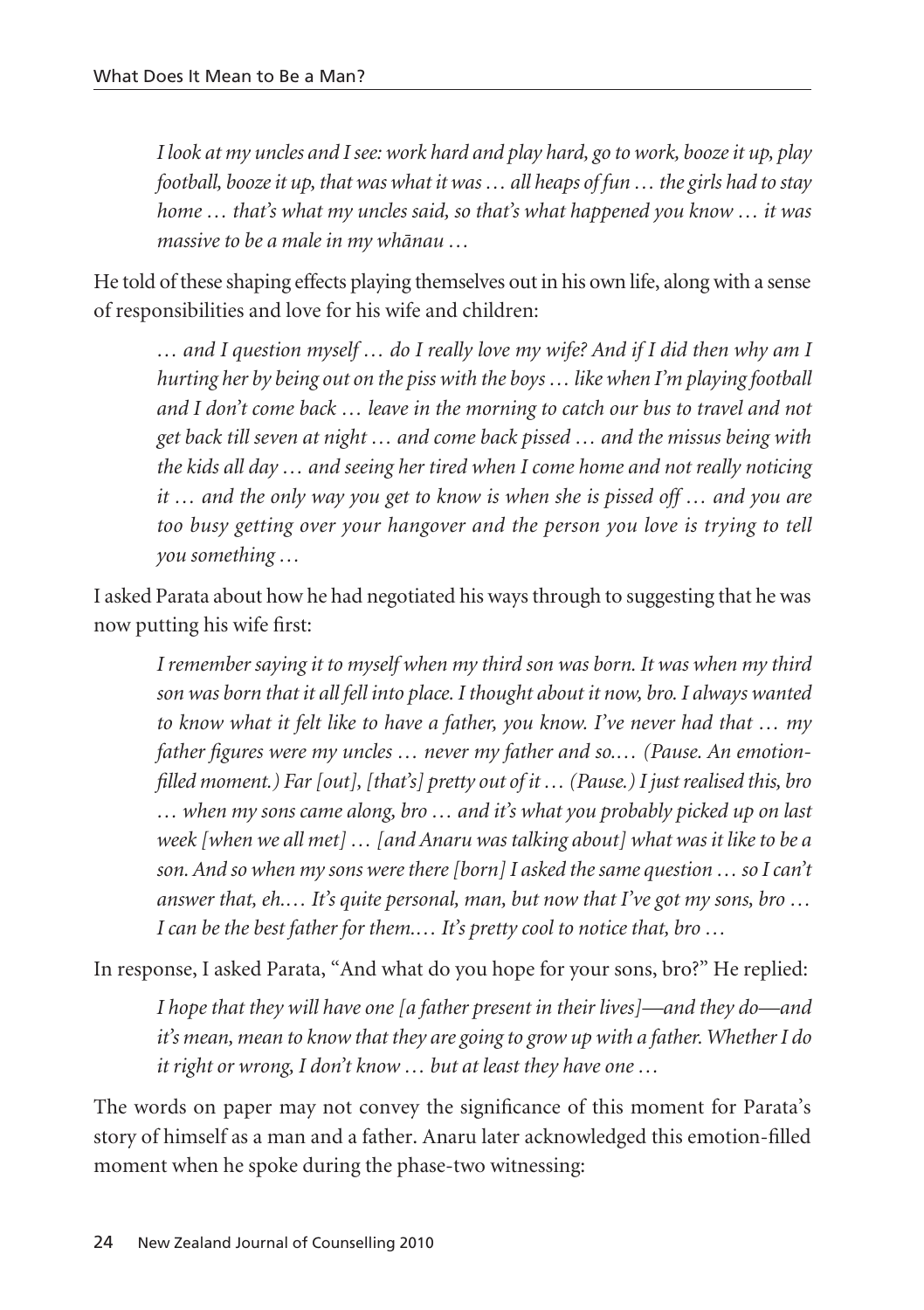*I look at my uncles and I see: work hard and play hard, go to work, booze it up, play football, booze it up, that was what it was … all heaps of fun … the girls had to stay home … that's what my uncles said, so that's what happened you know … it was massive to be a male in my whänau …*

He told of these shaping effects playing themselves out in his own life, along with a sense of responsibilities and love for his wife and children:

*… and I question myself … do I really love my wife? And if I did then why am I hurting her by being out on the piss with the boys … like when I'm playing football and I don't come back … leave in the morning to catch our bus to travel and not get back till seven at night … and come back pissed … and the missus being with the kids all day … and seeing her tired when I come home and not really noticing it … and the only way you get to know is when she is pissed off … and you are too busy getting over your hangover and the person you love is trying to tell you something …*

I asked Parata about how he had negotiated his ways through to suggesting that he was now putting his wife first:

*I remember saying it to myself when my third son was born. It was when my third son was born that it all fell into place. I thought about it now, bro. I always wanted to know what it felt like to have a father, you know. I've never had that … my father figures were my uncles … never my father and so.… (Pause. An emotionfilled moment.) Far [out], [that's] pretty out of it … (Pause.) I just realised this, bro … when my sons came along, bro … and it's what you probably picked up on last week [when we all met] … [and Anaru was talking about] what was it like to be a son. And so when my sons were there [born] I asked the same question … so I can't answer that, eh.… It's quite personal, man, but now that I've got my sons, bro … I can be the best father for them.… It's pretty cool to notice that, bro …*

In response, I asked Parata, "And what do you hope for your sons, bro?" He replied:

*I hope that they will have one [a father present in their lives]—and they do—and it's mean, mean to know that they are going to grow up with a father. Whether I do it right or wrong, I don't know … but at least they have one …*

The words on paper may not convey the significance of this moment for Parata's story of himself as a man and a father. Anaru later acknowledged this emotion-filled moment when he spoke during the phase-two witnessing: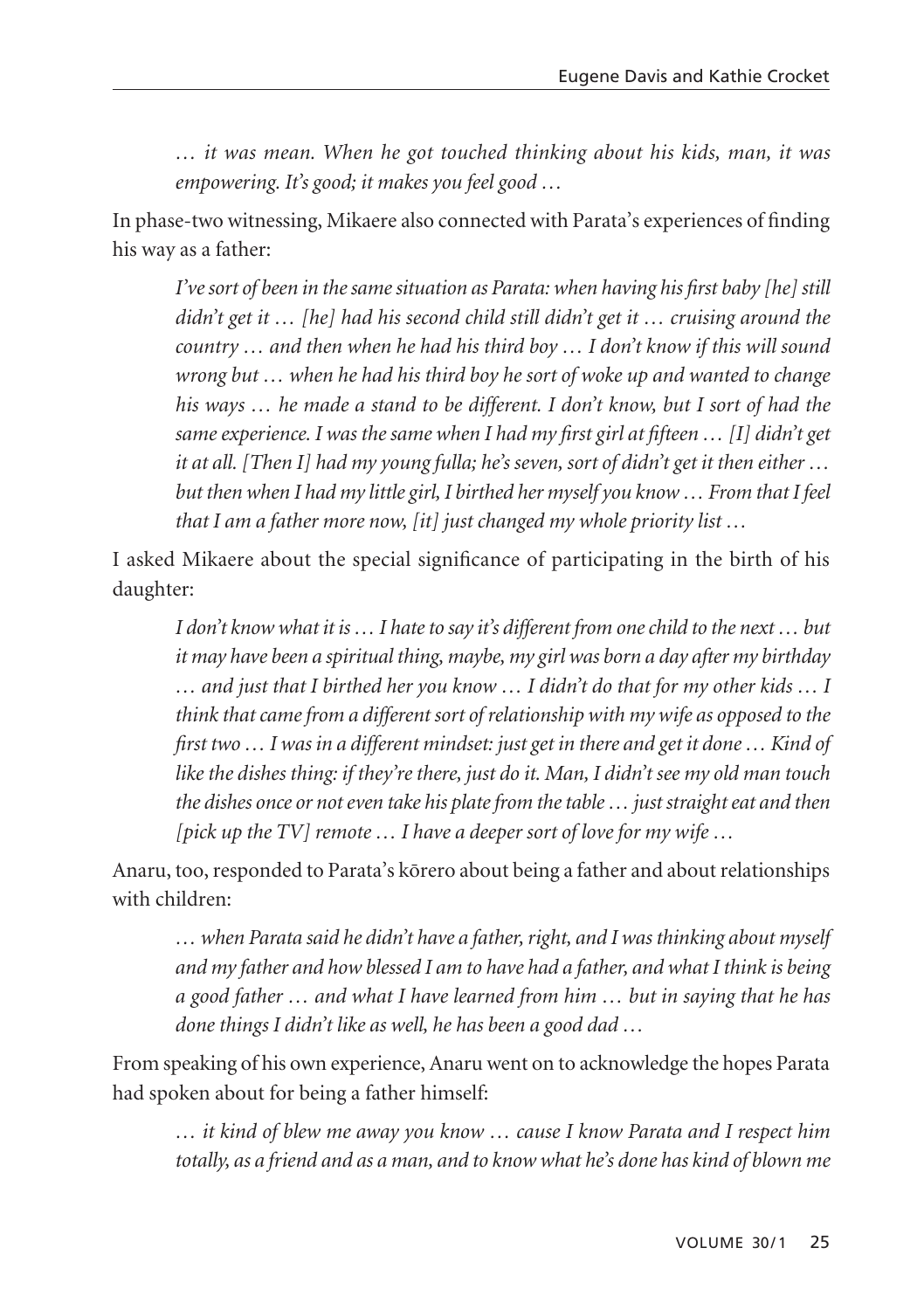*… it was mean. When he got touched thinking about his kids, man, it was empowering. It's good; it makes you feel good …*

In phase-two witnessing, Mikaere also connected with Parata's experiences of finding his way as a father:

*I've sort of been in the same situation as Parata: when having his first baby [he] still didn't get it … [he] had his second child still didn't get it … cruising around the country … and then when he had his third boy … I don't know if this will sound wrong but … when he had his third boy he sort of woke up and wanted to change his ways … he made a stand to be different. I don't know, but I sort of had the same experience. I was the same when I had my first girl at fifteen … [I] didn't get it at all. [Then I] had my young fulla; he's seven, sort of didn't get it then either … but then when I had my little girl, I birthed her myself you know … From that I feel that I am a father more now, [it] just changed my whole priority list …*

I asked Mikaere about the special significance of participating in the birth of his daughter:

*I don't know what it is … I hate to say it's different from one child to the next … but it may have been a spiritual thing, maybe, my girl was born a day after my birthday … and just that I birthed her you know … I didn't do that for my other kids … I think that came from a different sort of relationship with my wife as opposed to the first two … I was in a different mindset: just get in there and get it done … Kind of like the dishes thing: if they're there, just do it. Man, I didn't see my old man touch the dishes once or not even take his plate from the table … just straight eat and then [pick up the TV] remote … I have a deeper sort of love for my wife …*

Anaru, too, responded to Parata's körero about being a father and about relationships with children:

*… when Parata said he didn't have a father, right, and I was thinking about myself and my father and how blessed I am to have had a father, and what I think is being a good father … and what I have learned from him … but in saying that he has done things I didn't like as well, he has been a good dad …*

From speaking of his own experience, Anaru went on to acknowledge the hopes Parata had spoken about for being a father himself:

*… it kind of blew me away you know … cause I know Parata and I respect him totally, as a friend and as a man, and to know what he's done has kind of blown me*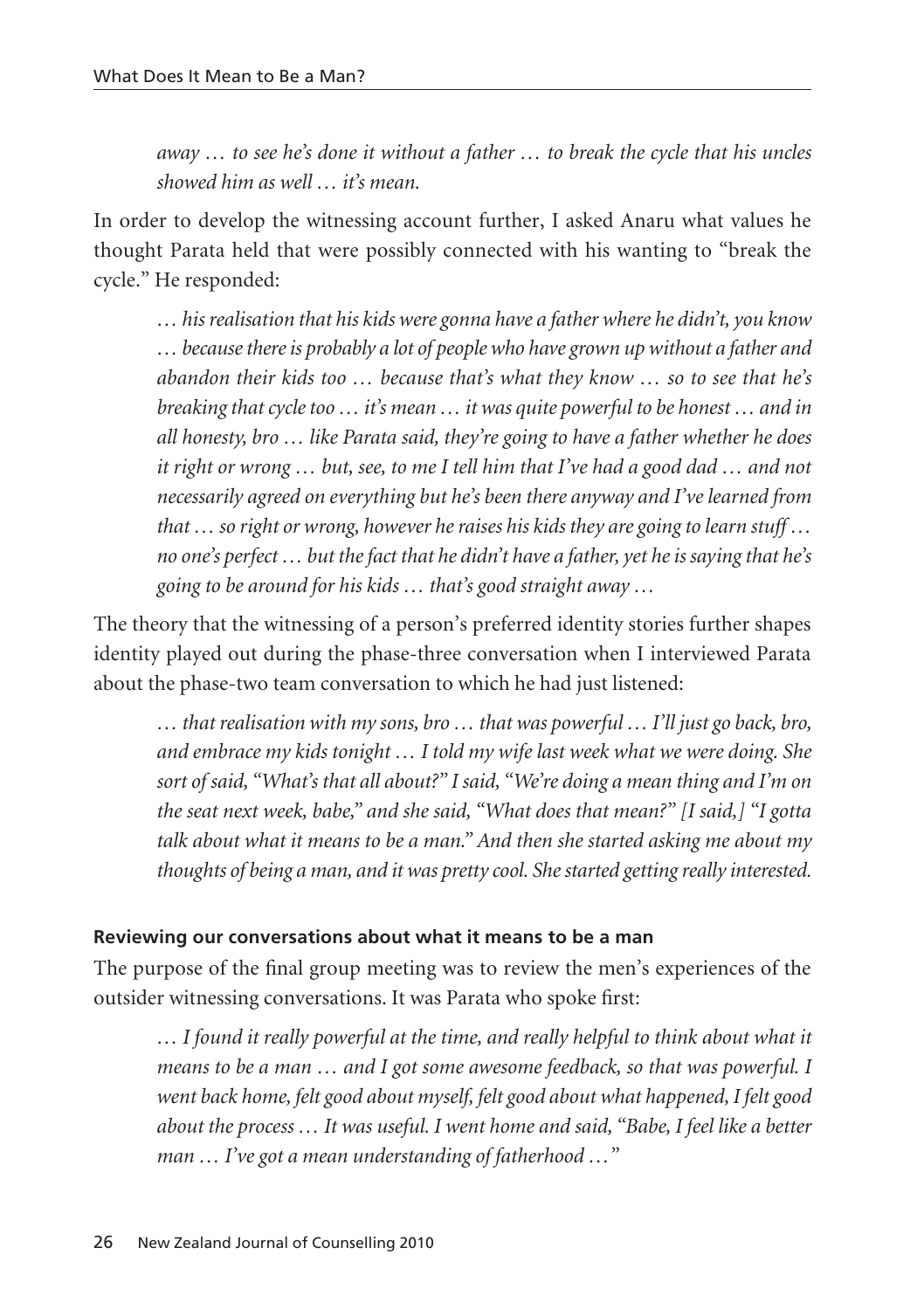*away … to see he's done it without a father … to break the cycle that his uncles showed him as well … it's mean.*

In order to develop the witnessing account further, I asked Anaru what values he thought Parata held that were possibly connected with his wanting to "break the cycle." He responded:

*… his realisation that his kids were gonna have a father where he didn't, you know … because there is probably a lot of people who have grown up without a father and abandon their kids too … because that's what they know … so to see that he's breaking that cycle too … it's mean … it was quite powerful to be honest … and in all honesty, bro … like Parata said, they're going to have a father whether he does it right or wrong … but, see, to me I tell him that I've had a good dad … and not necessarily agreed on everything but he's been there anyway and I've learned from that … so right or wrong, however he raises his kids they are going to learn stuff … no one's perfect … but the fact that he didn't have a father, yet he is saying that he's going to be around for his kids … that's good straight away …*

The theory that the witnessing of a person's preferred identity stories further shapes identity played out during the phase-three conversation when I interviewed Parata about the phase-two team conversation to which he had just listened:

*… that realisation with my sons, bro … that was powerful … I'll just go back, bro, and embrace my kids tonight … I told my wife last week what we were doing. She sort of said, "What's that all about?" I said, "We're doing a mean thing and I'm on the seat next week, babe," and she said, "What does that mean?" [I said,] "I gotta talk about what it means to be a man." And then she started asking me about my thoughts of being a man, and it was pretty cool. She started getting really interested.* 

### **Reviewing our conversations about what it means to be a man**

The purpose of the final group meeting was to review the men's experiences of the outsider witnessing conversations. It was Parata who spoke first:

*… I found it really powerful at the time, and really helpful to think about what it means to be a man … and I got some awesome feedback, so that was powerful. I went back home, felt good about myself, felt good about what happened, I felt good about the process … It was useful. I went home and said, "Babe, I feel like a better man … I've got a mean understanding of fatherhood …"*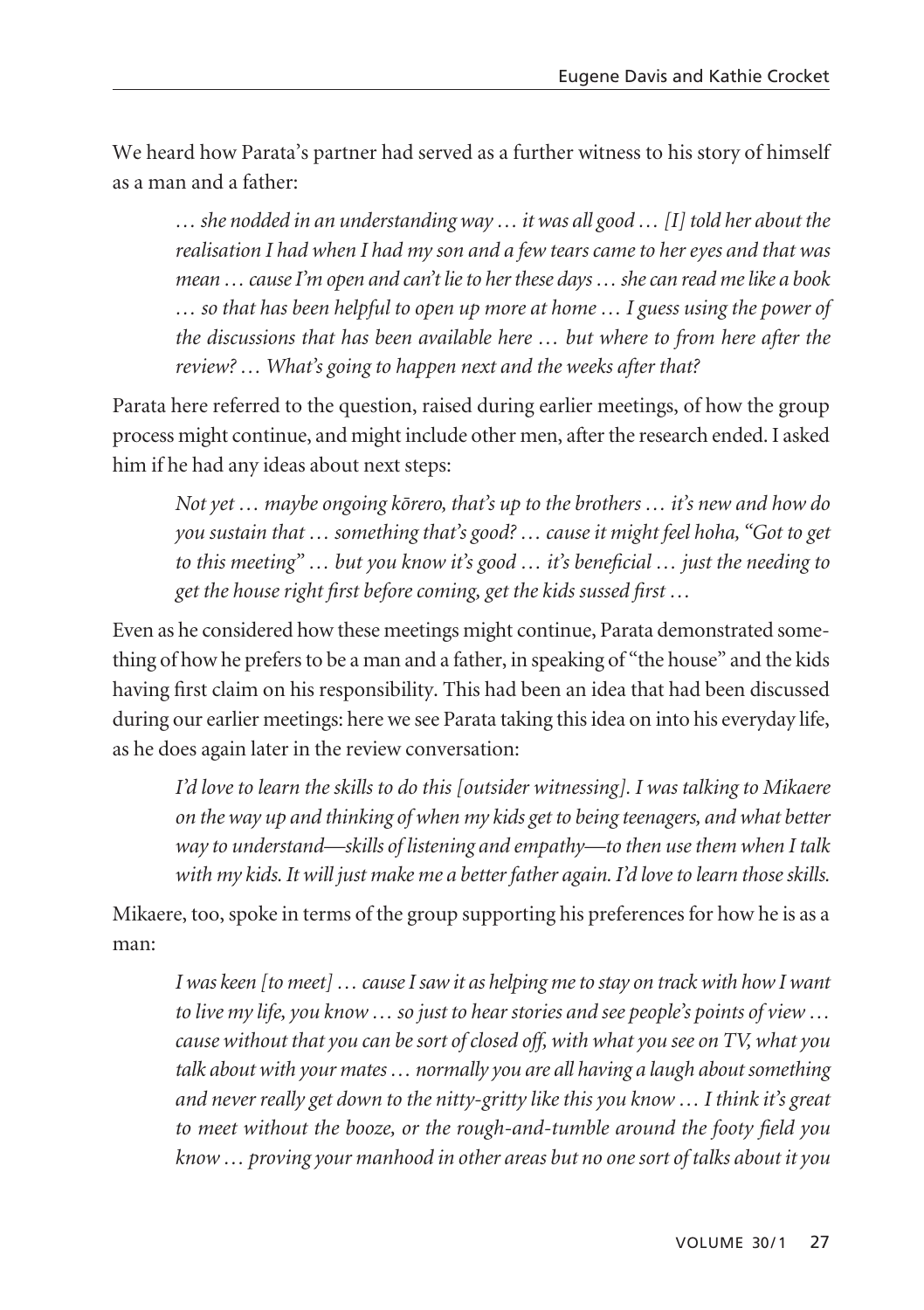We heard how Parata's partner had served as a further witness to his story of himself as a man and a father:

*… she nodded in an understanding way … it was all good … [I] told her about the realisation I had when I had my son and a few tears came to her eyes and that was mean … cause I'm open and can't lie to her these days … she can read me like a book … so that has been helpful to open up more at home … I guess using the power of the discussions that has been available here … but where to from here after the review? … What's going to happen next and the weeks after that?*

Parata here referred to the question, raised during earlier meetings, of how the group process might continue, and might include other men, after the research ended. I asked him if he had any ideas about next steps:

*Not yet … maybe ongoing körero, that's up to the brothers … it's new and how do you sustain that … something that's good? … cause it might feel hoha, "Got to get to this meeting" … but you know it's good … it's beneficial … just the needing to get the house right first before coming, get the kids sussed first …*

Even as he considered how these meetings might continue, Parata demonstrated something of how he prefers to be a man and a father, in speaking of "the house" and the kids having first claim on his responsibility. This had been an idea that had been discussed during our earlier meetings: here we see Parata taking this idea on into his everyday life, as he does again later in the review conversation:

*I'd love to learn the skills to do this [outsider witnessing]. I was talking to Mikaere on the way up and thinking of when my kids get to being teenagers, and what better way to understand—skills of listening and empathy—to then use them when I talk with my kids. It will just make me a better father again. I'd love to learn those skills.*

Mikaere, too, spoke in terms of the group supporting his preferences for how he is as a man:

*I was keen [to meet] … cause I saw it as helping me to stay on track with how I want to live my life, you know … so just to hear stories and see people's points of view … cause without that you can be sort of closed off, with what you see on TV, what you talk about with your mates … normally you are all having a laugh about something and never really get down to the nitty-gritty like this you know … I think it's great to meet without the booze, or the rough-and-tumble around the footy field you know … proving your manhood in other areas but no one sort of talks about it you*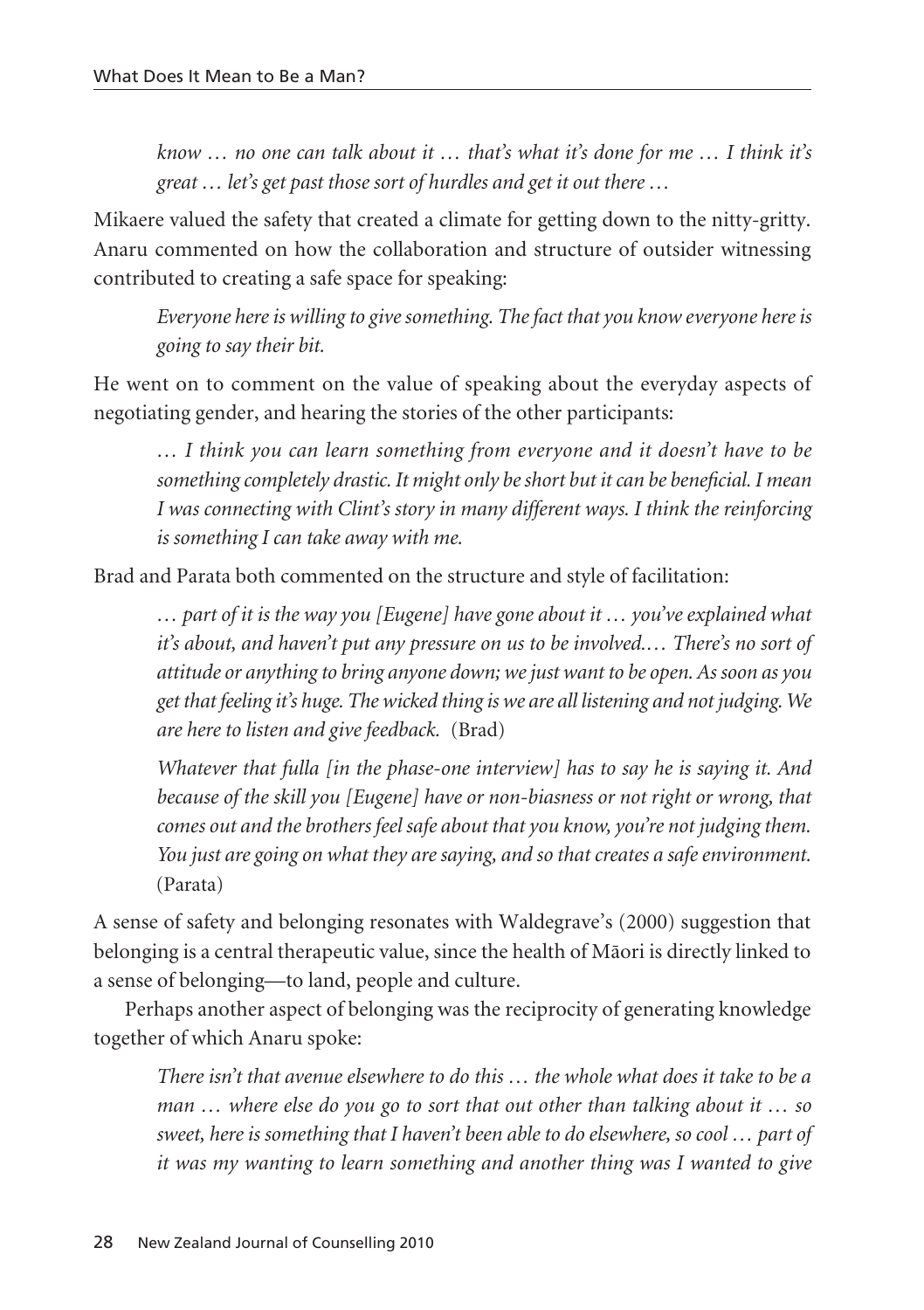*know … no one can talk about it … that's what it's done for me … I think it's great … let's get past those sort of hurdles and get it out there …*

Mikaere valued the safety that created a climate for getting down to the nitty-gritty. Anaru commented on how the collaboration and structure of outsider witnessing contributed to creating a safe space for speaking:

*Everyone here is willing to give something. The fact that you know everyone here is going to say their bit.*

He went on to comment on the value of speaking about the everyday aspects of negotiating gender, and hearing the stories of the other participants:

*… I think you can learn something from everyone and it doesn't have to be something completely drastic. It might only be short but it can be beneficial. I mean I was connecting with Clint's story in many different ways. I think the reinforcing is something I can take away with me.* 

Brad and Parata both commented on the structure and style of facilitation:

*… part of it is the way you [Eugene] have gone about it … you've explained what it's about, and haven't put any pressure on us to be involved.… There's no sort of attitude or anything to bring anyone down; we just want to be open. As soon as you get that feeling it's huge. The wicked thing is we are all listening and not judging. We are here to listen and give feedback.* (Brad)

*Whatever that fulla [in the phase-one interview] has to say he is saying it. And because of the skill you [Eugene] have or non-biasness or not right or wrong, that comes out and the brothers feel safe about that you know, you're not judging them. You just are going on what they are saying, and so that creates a safe environment.* (Parata)

A sense of safety and belonging resonates with Waldegrave's (2000) suggestion that belonging is a central therapeutic value, since the health of Mäori is directly linked to a sense of belonging—to land, people and culture.

Perhaps another aspect of belonging was the reciprocity of generating knowledge together of which Anaru spoke:

*There isn't that avenue elsewhere to do this … the whole what does it take to be a man … where else do you go to sort that out other than talking about it … so sweet, here is something that I haven't been able to do elsewhere, so cool … part of it was my wanting to learn something and another thing was I wanted to give*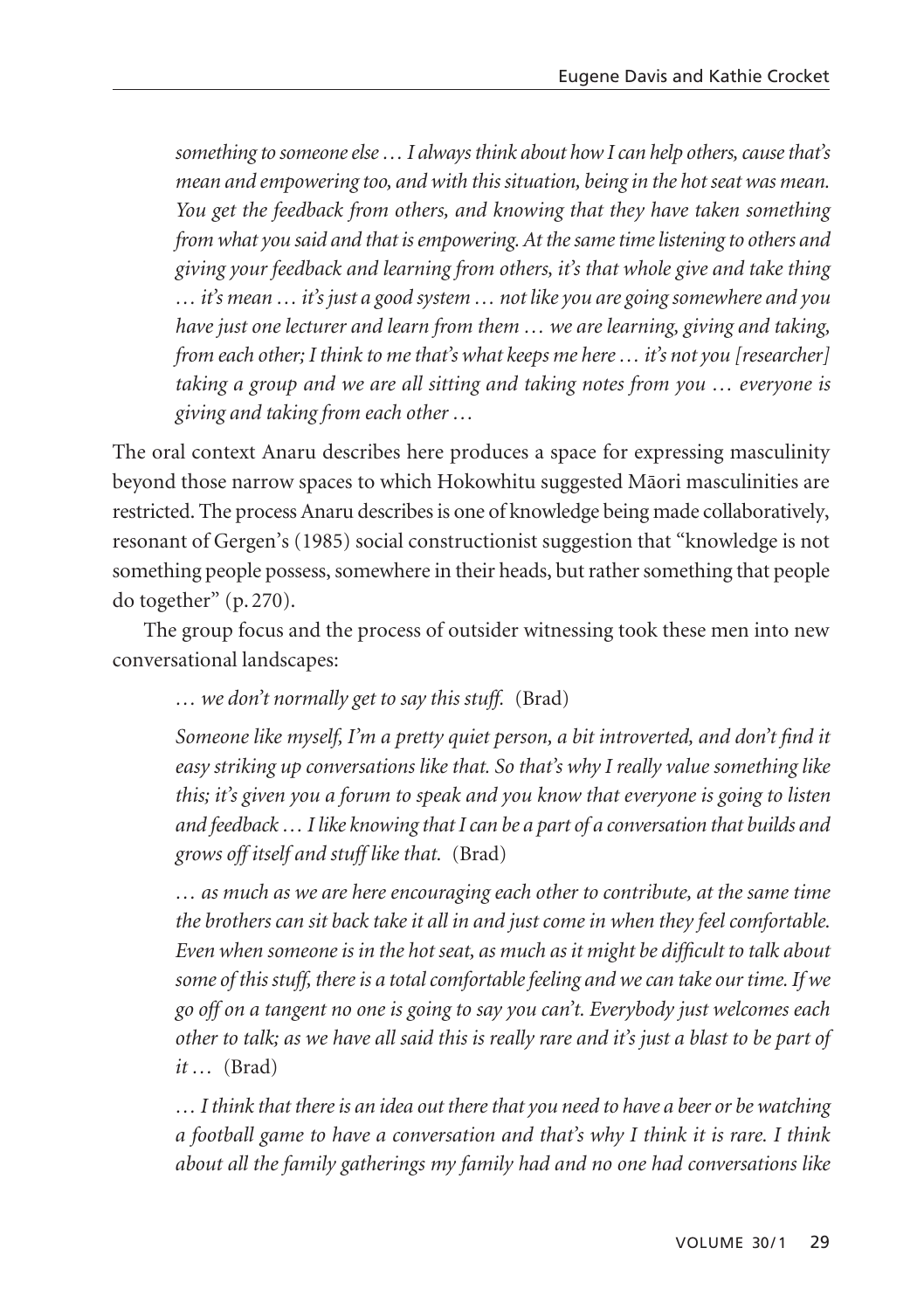*something to someone else … I always think about how I can help others, cause that's mean and empowering too, and with this situation, being in the hot seat was mean. You get the feedback from others, and knowing that they have taken something from what you said and that is empowering. At the same time listening to others and giving your feedback and learning from others, it's that whole give and take thing … it's mean … it's just a good system … not like you are going somewhere and you have just one lecturer and learn from them … we are learning, giving and taking, from each other; I think to me that's what keeps me here … it's not you [researcher] taking a group and we are all sitting and taking notes from you … everyone is giving and taking from each other …*

The oral context Anaru describes here produces a space for expressing masculinity beyond those narrow spaces to which Hokowhitu suggested Mäori masculinities are restricted. The process Anaru describes is one of knowledge being made collaboratively, resonant of Gergen's (1985) social constructionist suggestion that "knowledge is not something people possess, somewhere in their heads, but rather something that people do together" (p. 270).

The group focus and the process of outsider witnessing took these men into new conversational landscapes:

*… we don't normally get to say this stuff.* (Brad)

*Someone like myself, I'm a pretty quiet person, a bit introverted, and don't find it easy striking up conversations like that. So that's why I really value something like this; it's given you a forum to speak and you know that everyone is going to listen and feedback … I like knowing that I can be a part of a conversation that builds and grows off itself and stuff like that.* (Brad)

*… as much as we are here encouraging each other to contribute, at the same time the brothers can sit back take it all in and just come in when they feel comfortable. Even when someone is in the hot seat, as much as it might be difficult to talk about some of this stuff, there is a total comfortable feeling and we can take our time. If we go off on a tangent no one is going to say you can't. Everybody just welcomes each other to talk; as we have all said this is really rare and it's just a blast to be part of it …* (Brad)

*… I think that there is an idea out there that you need to have a beer or be watching a football game to have a conversation and that's why I think it is rare. I think about all the family gatherings my family had and no one had conversations like*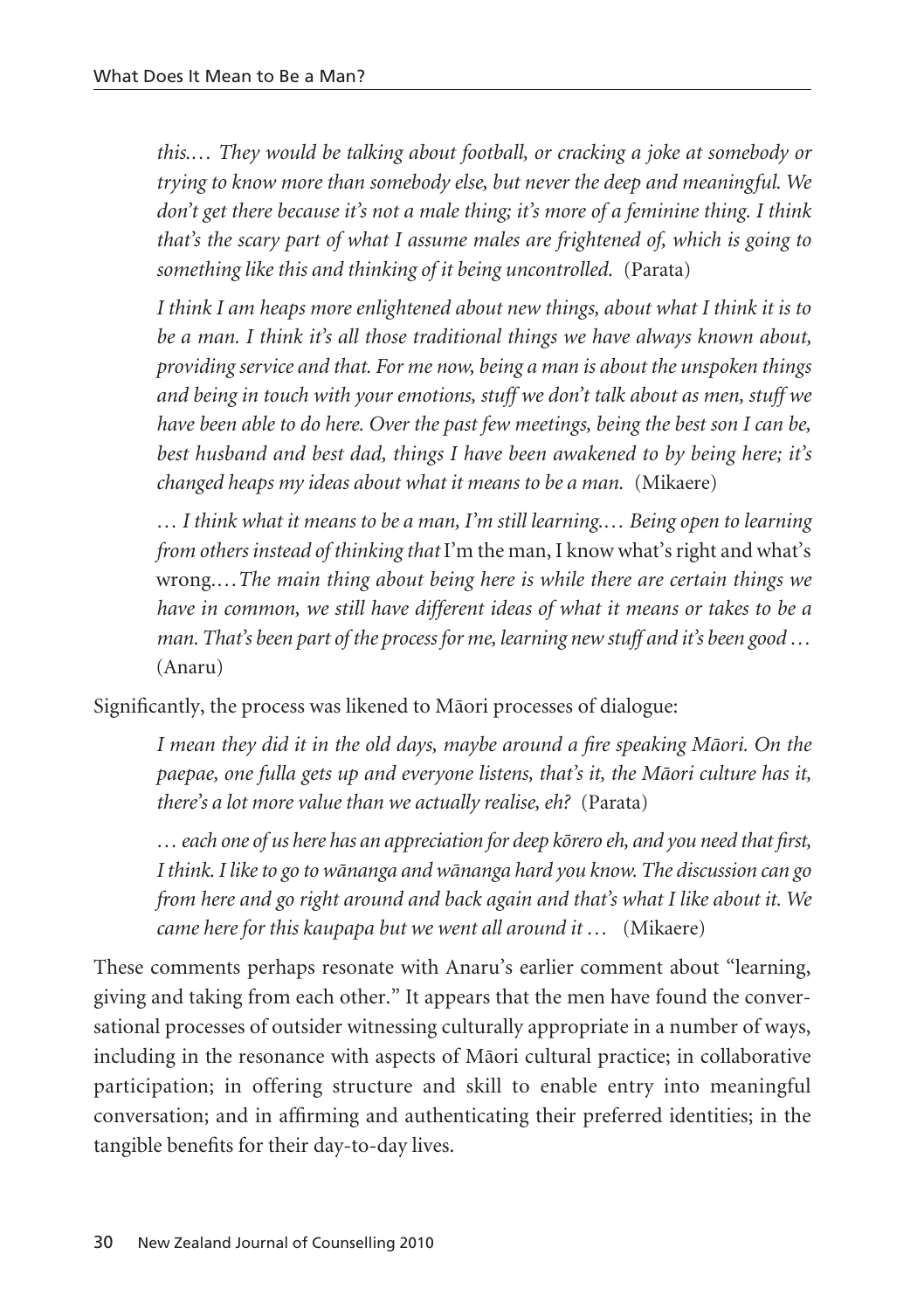*this.… They would be talking about football, or cracking a joke at somebody or trying to know more than somebody else, but never the deep and meaningful. We don't get there because it's not a male thing; it's more of a feminine thing. I think that's the scary part of what I assume males are frightened of, which is going to something like this and thinking of it being uncontrolled.* (Parata)

*I think I am heaps more enlightened about new things, about what I think it is to be a man. I think it's all those traditional things we have always known about, providing service and that. For me now, being a man is about the unspoken things and being in touch with your emotions, stuff we don't talk about as men, stuff we have been able to do here. Over the past few meetings, being the best son I can be, best husband and best dad, things I have been awakened to by being here; it's changed heaps my ideas about what it means to be a man.* (Mikaere)

*… I think what it means to be a man, I'm still learning.… Being open to learning from others instead of thinking that* I'm the man, I know what's right and what's wrong*.…The main thing about being here is while there are certain things we have in common, we still have different ideas of what it means or takes to be a man. That's been part of the process for me, learning new stuff and it's been good …* (Anaru)

Significantly, the process was likened to Mäori processes of dialogue:

*I mean they did it in the old days, maybe around a fire speaking Mäori. On the paepae, one fulla gets up and everyone listens, that's it, the Mäori culture has it, there's a lot more value than we actually realise, eh?* (Parata)

*… each one of us here has an appreciation for deep körero eh, and you need that first, I think. I like to go to wänanga and wänanga hard you know. The discussion can go from here and go right around and back again and that's what I like about it. We came here for this kaupapa but we went all around it …* (Mikaere)

These comments perhaps resonate with Anaru's earlier comment about "learning, giving and taking from each other." It appears that the men have found the conver sational processes of outsider witnessing culturally appropriate in a number of ways, including in the resonance with aspects of Mäori cultural practice; in collaborative participation; in offering structure and skill to enable entry into meaningful conversation; and in affirming and authenticating their preferred identities; in the tangible benefits for their day-to-day lives.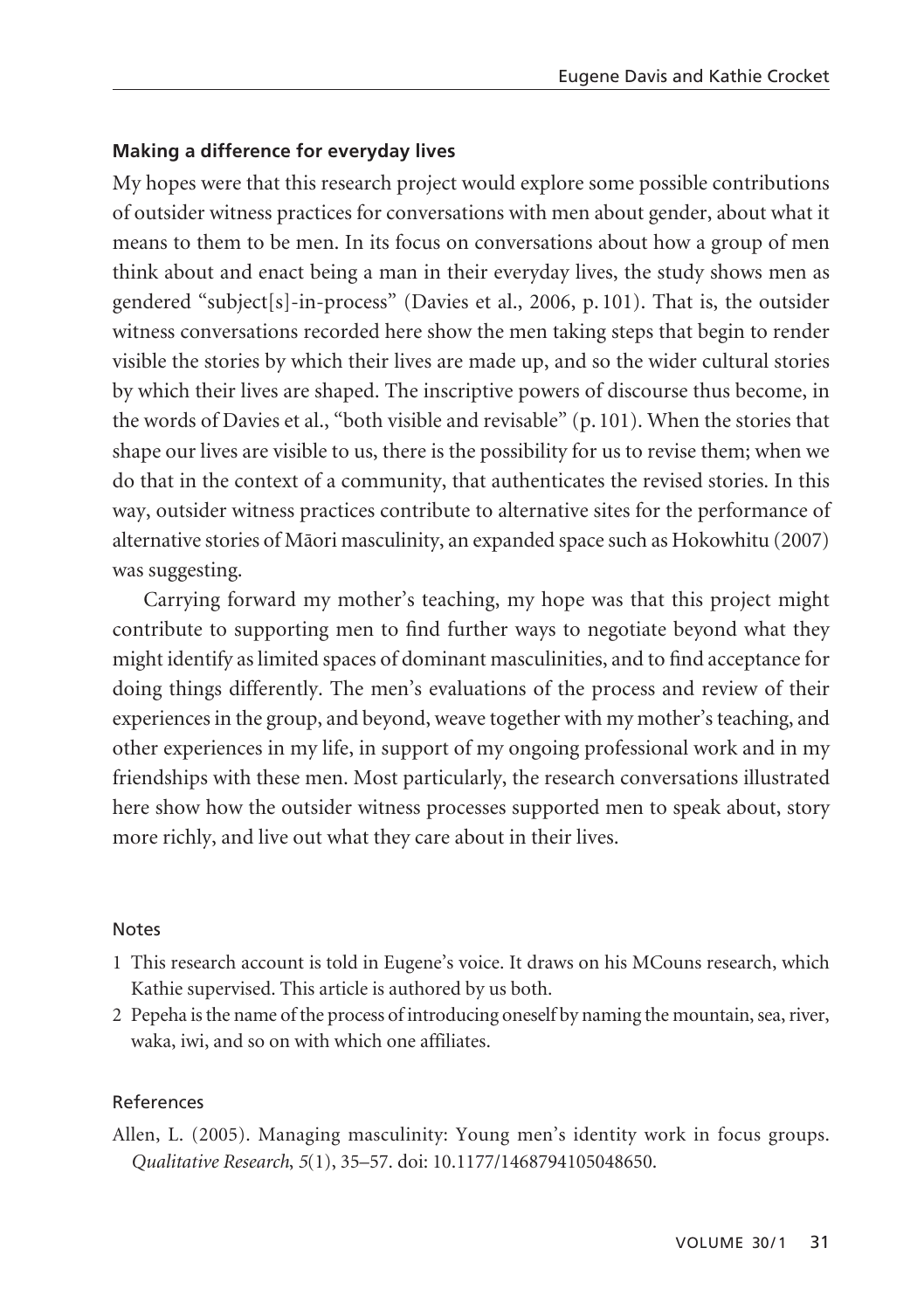## **Making a difference for everyday lives**

My hopes were that this research project would explore some possible contributions of outsider witness practices for conversations with men about gender, about what it means to them to be men. In its focus on conversations about how a group of men think about and enact being a man in their everyday lives, the study shows men as gendered "subject[s]-in-process" (Davies et al., 2006, p. 101). That is, the outsider witness conversations recorded here show the men taking steps that begin to render visible the stories by which their lives are made up, and so the wider cultural stories by which their lives are shaped. The inscriptive powers of discourse thus become, in the words of Davies et al., "both visible and revisable" (p. 101). When the stories that shape our lives are visible to us, there is the possibility for us to revise them; when we do that in the context of a community, that authenticates the revised stories. In this way, outsider witness practices contribute to alternative sites for the performance of alternative stories of Mäori masculinity, an expanded space such as Hokowhitu (2007) was suggesting.

Carrying forward my mother's teaching, my hope was that this project might contribute to supporting men to find further ways to negotiate beyond what they might identify as limited spaces of dominant masculinities, and to find acceptance for doing things differently. The men's evaluations of the process and review of their experiences in the group, and beyond, weave together with my mother's teaching, and other experiences in my life, in support of my ongoing professional work and in my friendships with these men. Most particularly, the research conversations illustrated here show how the outsider witness processes supported men to speak about, story more richly, and live out what they care about in their lives.

### Notes

- 1 This research account is told in Eugene's voice. It draws on his MCouns research, which Kathie supervised. This article is authored by us both.
- 2 Pepeha is the name of the process of introducing oneself by naming the mountain, sea, river, waka, iwi, and so on with which one affiliates.

## References

Allen, L. (2005). Managing masculinity: Young men's identity work in focus groups. *Qualitative Research*, *5*(1), 35–57. doi: 10.1177/1468794105048650.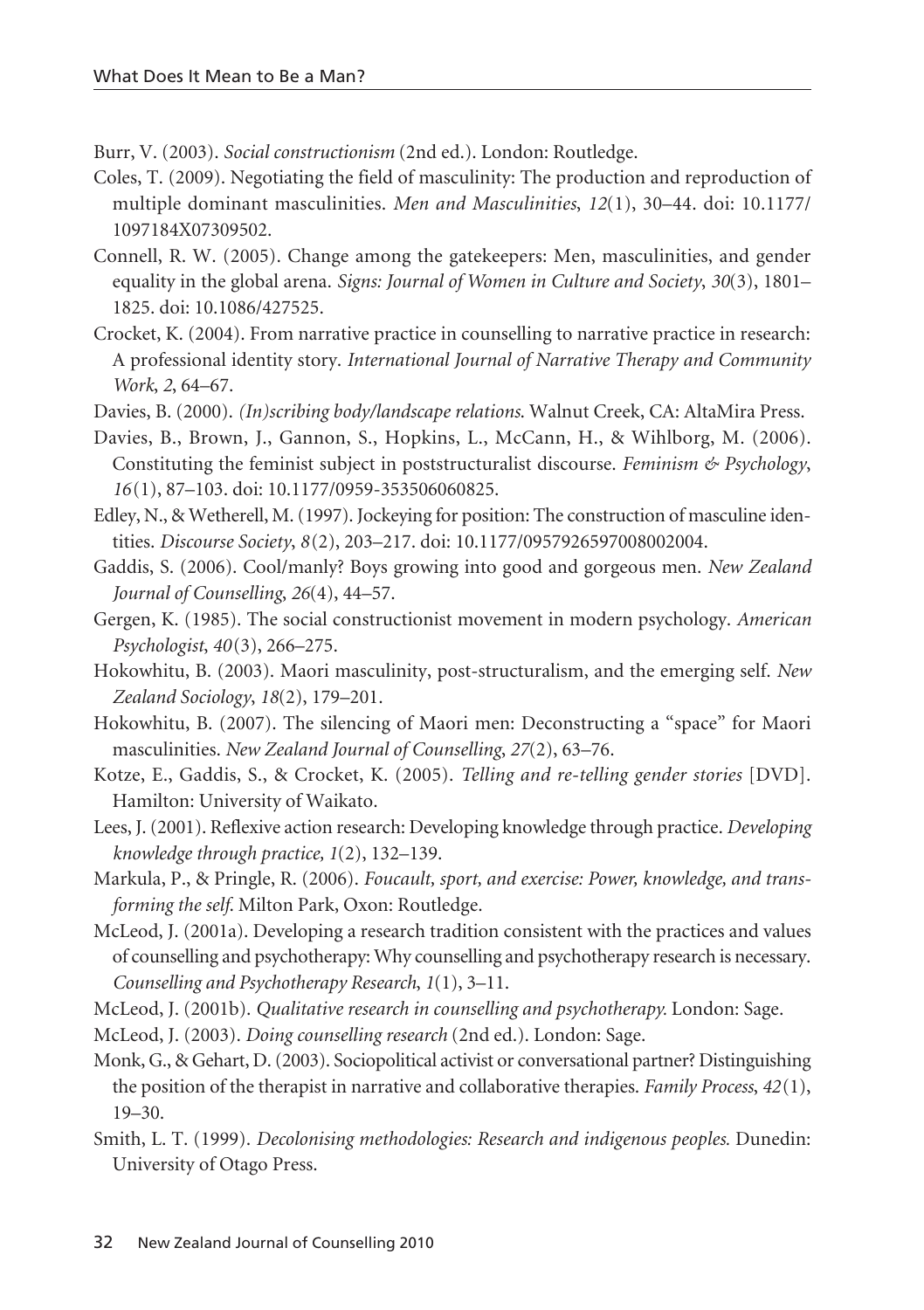Burr, V. (2003). *Social constructionism* (2nd ed.). London: Routledge.

- Coles, T. (2009). Negotiating the field of masculinity: The production and reproduction of multiple dominant masculinities. *Men and Masculinities*, *12*(1), 30–44. doi: 10.1177/ 1097184X07309502.
- Connell, R. W. (2005). Change among the gatekeepers: Men, masculinities, and gender equality in the global arena. *Signs: Journal of Women in Culture and Society*, *30*(3), 1801– 1825. doi: 10.1086/427525.
- Crocket, K. (2004). From narrative practice in counselling to narrative practice in research: A professional identity story. *International Journal of Narrative Therapy and Community Work*, *2*, 64–67.
- Davies, B. (2000). *(In)scribing body/landscape relations*. Walnut Creek, CA: AltaMira Press.
- Davies, B., Brown, J., Gannon, S., Hopkins, L., McCann, H., & Wihlborg, M. (2006). Constituting the feminist subject in poststructuralist discourse. *Feminism & Psychology*, *16*(1), 87–103. doi: 10.1177/0959-353506060825.
- Edley, N., & Wetherell, M. (1997). Jockeying for position: The construction of masculine identities. *Discourse Society*, *8*(2), 203–217. doi: 10.1177/0957926597008002004.
- Gaddis, S. (2006). Cool/manly? Boys growing into good and gorgeous men. *New Zealand Journal of Counselling*, *26*(4), 44–57.
- Gergen, K. (1985). The social constructionist movement in modern psychology. *American Psychologist*, *40*(3), 266–275.
- Hokowhitu, B. (2003). Maori masculinity, post-structuralism, and the emerging self. *New Zealand Sociology*, *18*(2), 179–201.
- Hokowhitu, B. (2007). The silencing of Maori men: Deconstructing a "space" for Maori masculinities. *New Zealand Journal of Counselling*, *27*(2), 63–76.
- Kotze, E., Gaddis, S., & Crocket, K. (2005). *Telling and re-telling gender stories* [DVD]. Hamilton: University of Waikato.
- Lees, J. (2001). Reflexive action research: Developing knowledge through practice. *Developing knowledge through practice, 1*(2), 132–139.
- Markula, P., & Pringle, R. (2006). *Foucault, sport, and exercise: Power, knowledge, and transforming the self*. Milton Park, Oxon: Routledge.
- McLeod, J. (2001a). Developing a research tradition consistent with the practices and values of counselling and psychotherapy: Why counselling and psychotherapy research is necessary. *Counselling and Psychotherapy Research*, *1*(1), 3–11.
- McLeod, J. (2001b). *Qualitative research in counselling and psychotherapy.* London: Sage.
- McLeod, J. (2003). *Doing counselling research* (2nd ed.). London: Sage.
- Monk, G., & Gehart, D. (2003). Sociopolitical activist or conversational partner? Distinguishing the position of the therapist in narrative and collaborative therapies. *Family Process*, *42*(1),  $19-30.$
- Smith, L. T. (1999). *Decolonising methodologies: Research and indigenous peoples.* Dunedin: University of Otago Press.